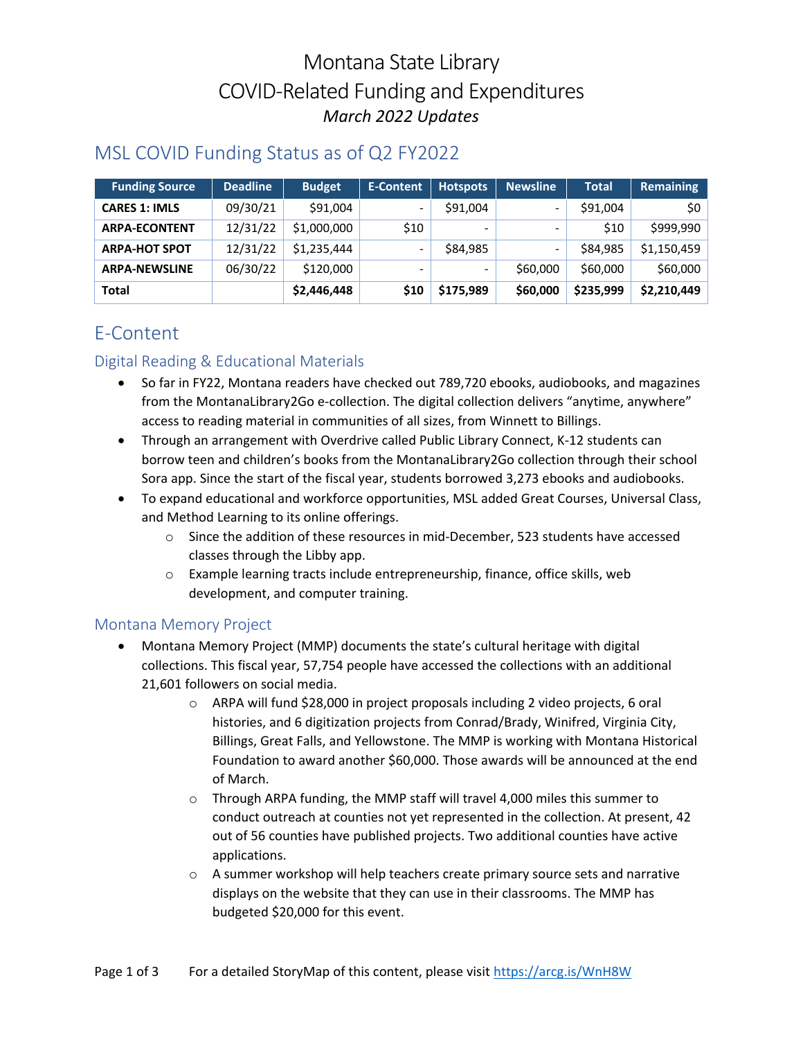# Montana State Library COVID-Related Funding and Expenditures *March 2022 Updates*

# MSL COVID Funding Status as of Q2 FY2022

| <b>Funding Source</b> | <b>Deadline</b> | <b>Budget</b> | <b>E-Content</b>             | <b>Hotspots</b> | <b>Newsline</b>          | <b>Total</b> | <b>Remaining</b> |
|-----------------------|-----------------|---------------|------------------------------|-----------------|--------------------------|--------------|------------------|
| <b>CARES 1: IMLS</b>  | 09/30/21        | \$91,004      | $\qquad \qquad \blacksquare$ | \$91,004        | $\overline{\phantom{0}}$ | \$91,004     | \$0              |
| <b>ARPA-ECONTENT</b>  | 12/31/22        | \$1,000,000   | \$10                         |                 | -                        | \$10         | \$999,990        |
| <b>ARPA-HOT SPOT</b>  | 12/31/22        | \$1.235.444   | -                            | \$84,985        | -                        | \$84,985     | \$1,150,459      |
| <b>ARPA-NEWSLINE</b>  | 06/30/22        | \$120,000     |                              |                 | \$60,000                 | \$60,000     | \$60,000         |
| <b>Total</b>          |                 | \$2,446,448   | \$10                         | \$175,989       | \$60,000                 | \$235,999    | \$2,210,449      |

# E-Content

### Digital Reading & Educational Materials

- So far in FY22, Montana readers have checked out 789,720 ebooks, audiobooks, and magazines from the MontanaLibrary2Go e-collection. The digital collection delivers "anytime, anywhere" access to reading material in communities of all sizes, from Winnett to Billings.
- Through an arrangement with Overdrive called Public Library Connect, K-12 students can borrow teen and children's books from the MontanaLibrary2Go collection through their school Sora app. Since the start of the fiscal year, students borrowed 3,273 ebooks and audiobooks.
- To expand educational and workforce opportunities, MSL added Great Courses, Universal Class, and Method Learning to its online offerings.
	- $\circ$  Since the addition of these resources in mid-December, 523 students have accessed classes through the Libby app.
	- o Example learning tracts include entrepreneurship, finance, office skills, web development, and computer training.

#### Montana Memory Project

- Montana Memory Project (MMP) documents the state's cultural heritage with digital collections. This fiscal year, 57,754 people have accessed the collections with an additional 21,601 followers on social media.
	- o ARPA will fund \$28,000 in project proposals including 2 video projects, 6 oral histories, and 6 digitization projects from Conrad/Brady, Winifred, Virginia City, Billings, Great Falls, and Yellowstone. The MMP is working with Montana Historical Foundation to award another \$60,000. Those awards will be announced at the end of March.
	- o Through ARPA funding, the MMP staff will travel 4,000 miles this summer to conduct outreach at counties not yet represented in the collection. At present, 42 out of 56 counties have published projects. Two additional counties have active applications.
	- o A summer workshop will help teachers create primary source sets and narrative displays on the website that they can use in their classrooms. The MMP has budgeted \$20,000 for this event.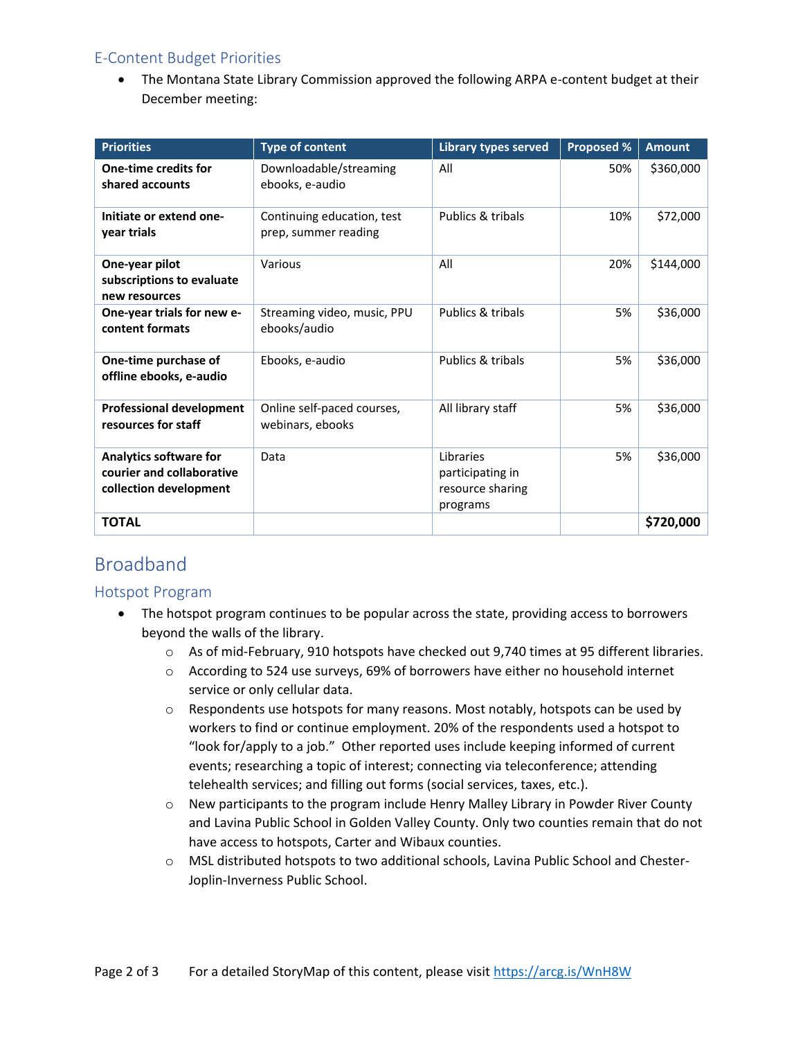### E-Content Budget Priorities

• The Montana State Library Commission approved the following ARPA e-content budget at their December meeting:

| <b>Priorities</b>                                                                    | <b>Type of content</b>                             | <b>Library types served</b>                                   | <b>Proposed %</b> | <b>Amount</b> |
|--------------------------------------------------------------------------------------|----------------------------------------------------|---------------------------------------------------------------|-------------------|---------------|
| One-time credits for<br>shared accounts                                              | Downloadable/streaming<br>ebooks, e-audio          | All                                                           | 50%               | \$360,000     |
| Initiate or extend one-<br>year trials                                               | Continuing education, test<br>prep, summer reading | Publics & tribals                                             | 10%               | \$72,000      |
| One-year pilot<br>subscriptions to evaluate<br>new resources                         | Various                                            | All                                                           | 20%               | \$144,000     |
| One-year trials for new e-<br>content formats                                        | Streaming video, music, PPU<br>ebooks/audio        | Publics & tribals                                             | 5%                | \$36,000      |
| One-time purchase of<br>offline ebooks, e-audio                                      | Ebooks, e-audio                                    | Publics & tribals                                             | 5%                | \$36,000      |
| <b>Professional development</b><br>resources for staff                               | Online self-paced courses,<br>webinars, ebooks     | All library staff                                             | 5%                | \$36,000      |
| <b>Analytics software for</b><br>courier and collaborative<br>collection development | Data                                               | Libraries<br>participating in<br>resource sharing<br>programs | 5%                | \$36,000      |
| <b>TOTAL</b>                                                                         |                                                    |                                                               |                   | \$720,000     |

# Broadband

#### Hotspot Program

- The hotspot program continues to be popular across the state, providing access to borrowers beyond the walls of the library.
	- o As of mid-February, 910 hotspots have checked out 9,740 times at 95 different libraries.
	- o According to 524 use surveys, 69% of borrowers have either no household internet service or only cellular data.
	- $\circ$  Respondents use hotspots for many reasons. Most notably, hotspots can be used by workers to find or continue employment. 20% of the respondents used a hotspot to "look for/apply to a job." Other reported uses include keeping informed of current events; researching a topic of interest; connecting via teleconference; attending telehealth services; and filling out forms (social services, taxes, etc.).
	- $\circ$  New participants to the program include Henry Malley Library in Powder River County and Lavina Public School in Golden Valley County. Only two counties remain that do not have access to hotspots, Carter and Wibaux counties.
	- o MSL distributed hotspots to two additional schools, Lavina Public School and Chester-Joplin-Inverness Public School.